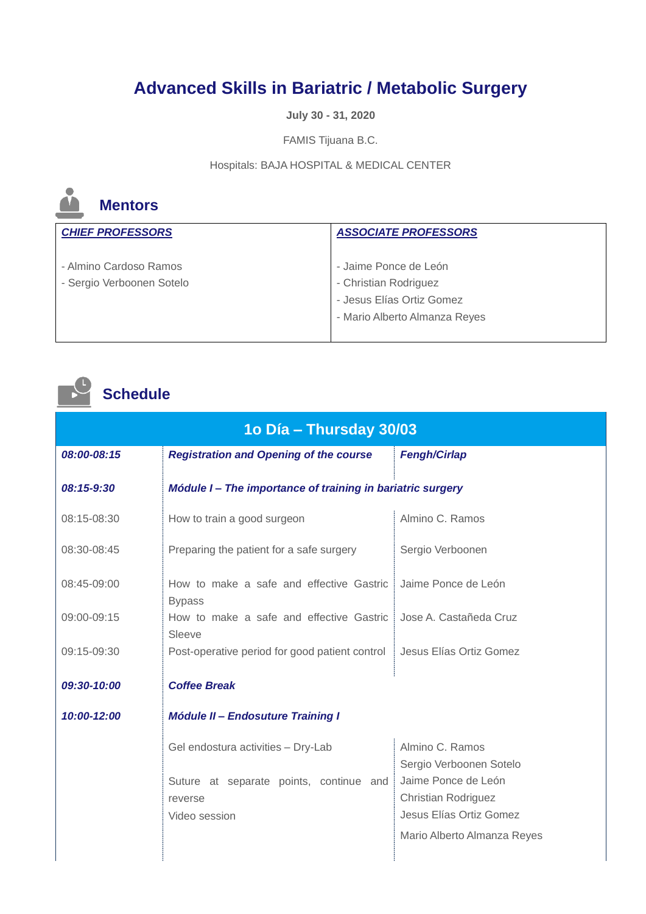## **Advanced Skills in Bariatric / Metabolic Surgery**

**July 30 - 31, 2020**

FAMIS Tijuana B.C.

Hospitals: BAJA HOSPITAL & MEDICAL CENTER



## **Mentors**

| <b>CHIEF PROFESSORS</b>                             | <b>ASSOCIATE PROFESSORS</b>                                                                                  |
|-----------------------------------------------------|--------------------------------------------------------------------------------------------------------------|
| - Almino Cardoso Ramos<br>- Sergio Verboonen Sotelo | - Jaime Ponce de León<br>- Christian Rodriguez<br>- Jesus Elías Ortiz Gomez<br>- Mario Alberto Almanza Reyes |

## **Schedule**

| 1o Día – Thursday 30/03 |                                                            |                                            |
|-------------------------|------------------------------------------------------------|--------------------------------------------|
| 08:00-08:15             | <b>Registration and Opening of the course</b>              | <b>Fengh/Cirlap</b>                        |
| 08:15-9:30              | Módule I - The importance of training in bariatric surgery |                                            |
| 08:15-08:30             | How to train a good surgeon                                | Almino C. Ramos                            |
| 08:30-08:45             | Preparing the patient for a safe surgery                   | Sergio Verboonen                           |
| 08:45-09:00             | How to make a safe and effective Gastric<br><b>Bypass</b>  | Jaime Ponce de León                        |
| 09:00-09:15             | How to make a safe and effective Gastric<br>Sleeve         | Jose A. Castañeda Cruz                     |
| 09:15-09:30             | Post-operative period for good patient control             | Jesus Elías Ortiz Gomez                    |
| 09:30-10:00             | <b>Coffee Break</b>                                        |                                            |
| 10:00-12:00             | <b>Módule II - Endosuture Training I</b>                   |                                            |
|                         | Gel endostura activities - Dry-Lab                         | Almino C. Ramos<br>Sergio Verboonen Sotelo |
|                         | Suture at separate points, continue and                    | Jaime Ponce de León                        |
|                         | reverse                                                    | <b>Christian Rodriguez</b>                 |
|                         | Video session                                              | Jesus Elías Ortiz Gomez                    |
|                         |                                                            | Mario Alberto Almanza Reyes                |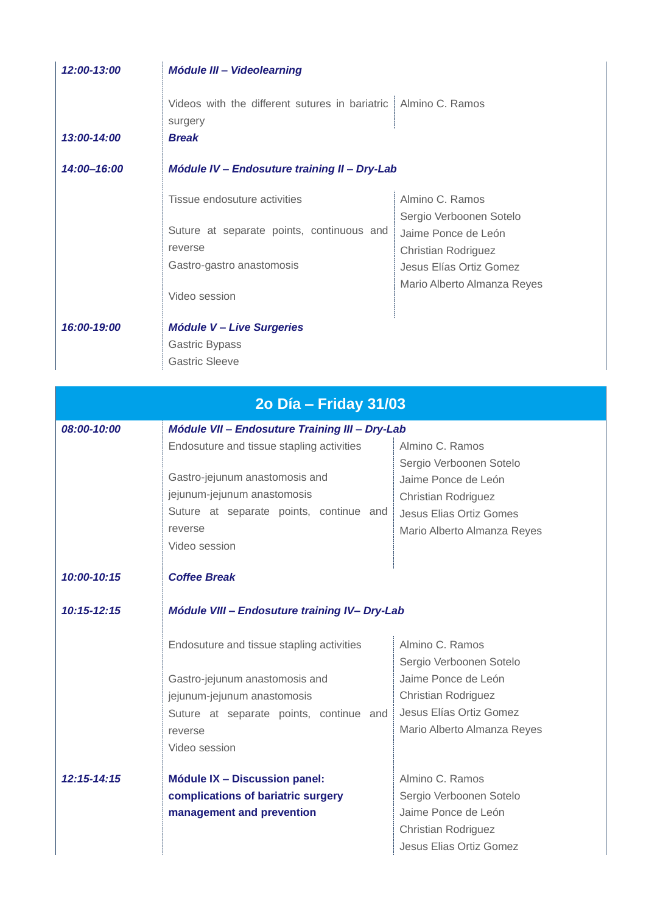| 12:00-13:00 | <b>Módule III - Videolearning</b>                                                  |                                                                   |
|-------------|------------------------------------------------------------------------------------|-------------------------------------------------------------------|
| 13:00-14:00 | Videos with the different sutures in bariatric<br>surgery<br><b>Break</b>          | Almino C. Ramos                                                   |
| 14:00-16:00 | Módule IV - Endosuture training II - Dry-Lab                                       |                                                                   |
|             | Tissue endosuture activities<br>Suture at separate points, continuous and          | Almino C. Ramos<br>Sergio Verboonen Sotelo<br>Jaime Ponce de León |
|             | reverse<br>Gastro-gastro anastomosis                                               | Christian Rodriguez<br>Jesus Elías Ortiz Gomez                    |
|             | Video session                                                                      | Mario Alberto Almanza Reyes                                       |
| 16:00-19:00 | <b>Módule V - Live Surgeries</b><br><b>Gastric Bypass</b><br><b>Gastric Sleeve</b> |                                                                   |

| 2o Día - Friday 31/03 |                                                |                                            |
|-----------------------|------------------------------------------------|--------------------------------------------|
| 08:00-10:00           | Módule VII - Endosuture Training III - Dry-Lab |                                            |
|                       | Endosuture and tissue stapling activities      | Almino C. Ramos<br>Sergio Verboonen Sotelo |
|                       | Gastro-jejunum anastomosis and                 | Jaime Ponce de León                        |
|                       | jejunum-jejunum anastomosis                    | <b>Christian Rodriguez</b>                 |
|                       | Suture at separate points, continue and        | Jesus Elias Ortiz Gomes                    |
|                       | reverse                                        | Mario Alberto Almanza Reyes                |
|                       | Video session                                  |                                            |
|                       |                                                |                                            |
| 10:00-10:15           | <b>Coffee Break</b>                            |                                            |
| $10:15 - 12:15$       | Módule VIII - Endosuture training IV- Dry-Lab  |                                            |
|                       | Endosuture and tissue stapling activities      | Almino C. Ramos                            |
|                       |                                                | Sergio Verboonen Sotelo                    |
|                       | Gastro-jejunum anastomosis and                 | Jaime Ponce de León                        |
|                       | jejunum-jejunum anastomosis                    | <b>Christian Rodriguez</b>                 |
|                       | Suture at separate points, continue and        | Jesus Elías Ortiz Gomez                    |
|                       | reverse                                        | Mario Alberto Almanza Reyes                |
|                       | Video session                                  |                                            |
| $12:15 - 14:15$       | Módule IX - Discussion panel:                  | Almino C. Ramos                            |
|                       | complications of bariatric surgery             | Sergio Verboonen Sotelo                    |
|                       | management and prevention                      | Jaime Ponce de León                        |
|                       |                                                | <b>Christian Rodriguez</b>                 |
|                       |                                                | Jesus Elias Ortiz Gomez                    |